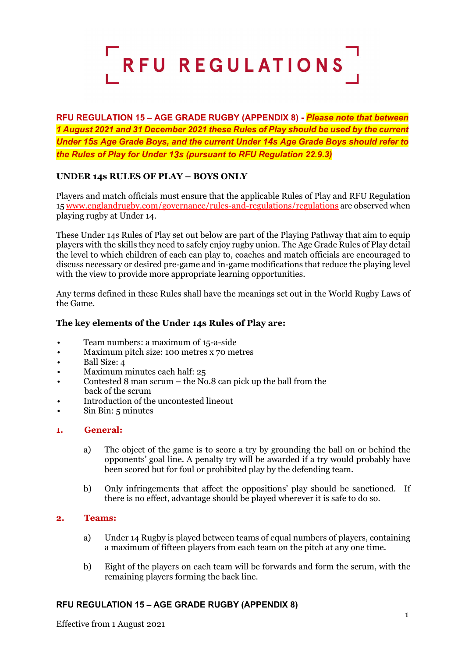

**RFU REGULATION 15 – AGE GRADE RUGBY (APPENDIX 8) -** *Please note that between 1 August 2021 and 31 December 2021 these Rules of Play should be used by the current Under 15s Age Grade Boys, and the current Under 14s Age Grade Boys should refer to the Rules of Play for Under 13s (pursuant to RFU Regulation 22.9.3)*

# **UNDER 14s RULES OF PLAY – BOYS ONLY**

Players and match officials must ensure that the applicable Rules of Play and RFU Regulation 1[5 www.englandrugby.com/governance/rules-and-regulations/regulations](http://www.englandrugby.com/governance/rules-and-regulations/regulations) are observed when playing rugby at Under 14.

These Under 14s Rules of Play set out below are part of the Playing Pathway that aim to equip players with the skills they need to safely enjoy rugby union. The Age Grade Rules of Play detail the level to which children of each can play to, coaches and match officials are encouraged to discuss necessary or desired pre-game and in-game modifications that reduce the playing level with the view to provide more appropriate learning opportunities.

Any terms defined in these Rules shall have the meanings set out in the World Rugby Laws of the Game.

## **The key elements of the Under 14s Rules of Play are:**

- Team numbers: a maximum of 15-a-side
- Maximum pitch size: 100 metres x 70 metres
- Ball Size: 4
- Maximum minutes each half: 25
- Contested 8 man scrum the No.8 can pick up the ball from the back of the scrum
- Introduction of the uncontested lineout
- Sin Bin: 5 minutes

### **1. General:**

- a) The object of the game is to score a try by grounding the ball on or behind the opponents' goal line. A penalty try will be awarded if a try would probably have been scored but for foul or prohibited play by the defending team.
- b) Only infringements that affect the oppositions' play should be sanctioned. If there is no effect, advantage should be played wherever it is safe to do so.

#### **2. Teams:**

- a) Under 14 Rugby is played between teams of equal numbers of players, containing a maximum of fifteen players from each team on the pitch at any one time.
- b) Eight of the players on each team will be forwards and form the scrum, with the remaining players forming the back line.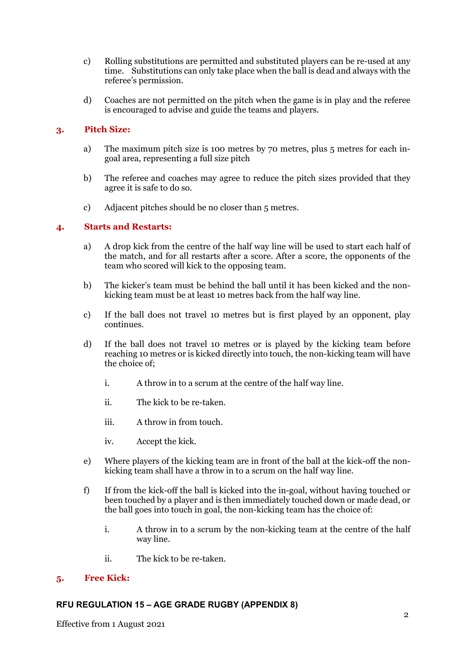- c) Rolling substitutions are permitted and substituted players can be re-used at any time. Substitutions can only take place when the ball is dead and always with the referee's permission.
- d) Coaches are not permitted on the pitch when the game is in play and the referee is encouraged to advise and guide the teams and players.

## **3. Pitch Size:**

- a) The maximum pitch size is 100 metres by 70 metres, plus 5 metres for each ingoal area, representing a full size pitch
- b) The referee and coaches may agree to reduce the pitch sizes provided that they agree it is safe to do so.
- c) Adjacent pitches should be no closer than 5 metres.

### **4. Starts and Restarts:**

- a) A drop kick from the centre of the half way line will be used to start each half of the match, and for all restarts after a score. After a score, the opponents of the team who scored will kick to the opposing team.
- b) The kicker's team must be behind the ball until it has been kicked and the nonkicking team must be at least 10 metres back from the half way line.
- c) If the ball does not travel 10 metres but is first played by an opponent, play continues.
- d) If the ball does not travel 10 metres or is played by the kicking team before reaching 10 metres or is kicked directly into touch, the non-kicking team will have the choice of;
	- i. A throw in to a scrum at the centre of the half way line.
	- ii. The kick to be re-taken.
	- iii. A throw in from touch.
	- iv. Accept the kick.
- e) Where players of the kicking team are in front of the ball at the kick-off the nonkicking team shall have a throw in to a scrum on the half way line.
- f) If from the kick-off the ball is kicked into the in-goal, without having touched or been touched by a player and is then immediately touched down or made dead, or the ball goes into touch in goal, the non-kicking team has the choice of:
	- i. A throw in to a scrum by the non-kicking team at the centre of the half way line.
	- ii. The kick to be re-taken.

### **5. Free Kick:**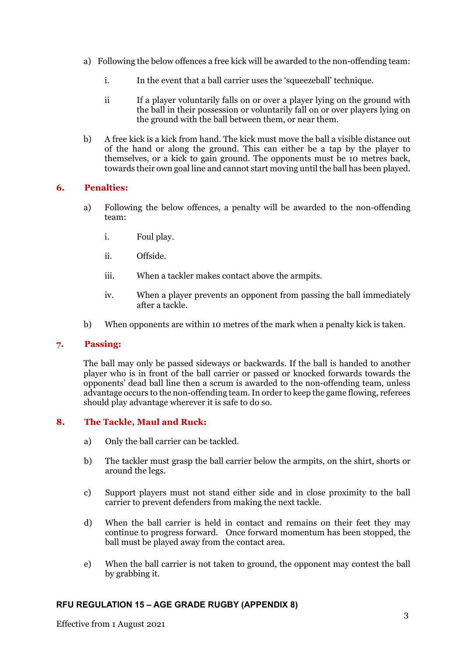- a) Following the below offences a free kick will be awarded to the non-offending team:
	- i. In the event that a ball carrier uses the 'squeezeball' technique.
	- ii If a player voluntarily falls on or over a player lying on the ground with the ball in their possession or voluntarily fall on or over players lying on the ground with the ball between them, or near them.
- b) A free kick is a kick from hand. The kick must move the ball a visible distance out of the hand or along the ground. This can either be a tap by the player to themselves, or a kick to gain ground. The opponents must be 10 metres back, towards their own goal line and cannot start moving until the ball has been played.

## **6. Penalties:**

- a) Following the below offences, a penalty will be awarded to the non-offending team:
	- i. Foul play.
	- ii. Offside.
	- iii. When a tackler makes contact above the armpits.
	- iv. When a player prevents an opponent from passing the ball immediately after a tackle.
- b) When opponents are within 10 metres of the mark when a penalty kick is taken.

## **7. Passing:**

The ball may only be passed sideways or backwards. If the ball is handed to another player who is in front of the ball carrier or passed or knocked forwards towards the opponents' dead ball line then a scrum is awarded to the non-offending team, unless advantage occurs to the non-offending team. In order to keep the game flowing, referees should play advantage wherever it is safe to do so.

# **8. The Tackle, Maul and Ruck:**

- a) Only the ball carrier can be tackled.
- b) The tackler must grasp the ball carrier below the armpits, on the shirt, shorts or around the legs.
- c) Support players must not stand either side and in close proximity to the ball carrier to prevent defenders from making the next tackle.
- d) When the ball carrier is held in contact and remains on their feet they may continue to progress forward. Once forward momentum has been stopped, the ball must be played away from the contact area.
- e) When the ball carrier is not taken to ground, the opponent may contest the ball by grabbing it.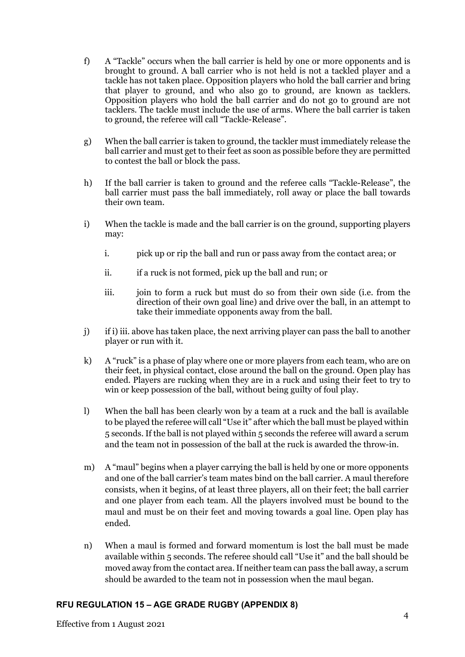- f) A "Tackle" occurs when the ball carrier is held by one or more opponents and is brought to ground. A ball carrier who is not held is not a tackled player and a tackle has not taken place. Opposition players who hold the ball carrier and bring that player to ground, and who also go to ground, are known as tacklers. Opposition players who hold the ball carrier and do not go to ground are not tacklers. The tackle must include the use of arms. Where the ball carrier is taken to ground, the referee will call "Tackle-Release".
- g) When the ball carrier is taken to ground, the tackler must immediately release the ball carrier and must get to their feet as soon as possible before they are permitted to contest the ball or block the pass.
- h) If the ball carrier is taken to ground and the referee calls "Tackle-Release", the ball carrier must pass the ball immediately, roll away or place the ball towards their own team.
- i) When the tackle is made and the ball carrier is on the ground, supporting players may:
	- i. pick up or rip the ball and run or pass away from the contact area; or
	- ii. if a ruck is not formed, pick up the ball and run; or
	- iii. join to form a ruck but must do so from their own side (i.e. from the direction of their own goal line) and drive over the ball, in an attempt to take their immediate opponents away from the ball.
- j) if i) iii. above has taken place, the next arriving player can pass the ball to another player or run with it.
- k) A "ruck" is a phase of play where one or more players from each team, who are on their feet, in physical contact, close around the ball on the ground. Open play has ended. Players are rucking when they are in a ruck and using their feet to try to win or keep possession of the ball, without being guilty of foul play.
- l) When the ball has been clearly won by a team at a ruck and the ball is available to be played the referee will call "Use it" after which the ball must be played within 5 seconds. If the ball is not played within 5 seconds the referee will award a scrum and the team not in possession of the ball at the ruck is awarded the throw-in.
- m) A "maul" begins when a player carrying the ball is held by one or more opponents and one of the ball carrier's team mates bind on the ball carrier. A maul therefore consists, when it begins, of at least three players, all on their feet; the ball carrier and one player from each team. All the players involved must be bound to the maul and must be on their feet and moving towards a goal line. Open play has ended.
- n) When a maul is formed and forward momentum is lost the ball must be made available within 5 seconds. The referee should call "Use it" and the ball should be moved away from the contact area. If neither team can pass the ball away, a scrum should be awarded to the team not in possession when the maul began.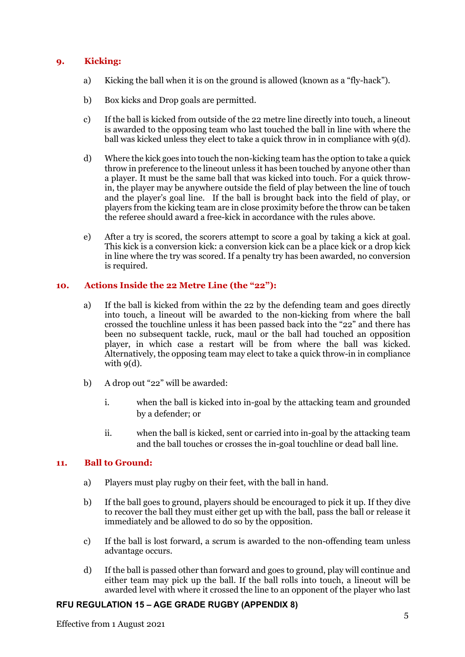# **9. Kicking:**

- a) Kicking the ball when it is on the ground is allowed (known as a "fly-hack").
- b) Box kicks and Drop goals are permitted.
- c) If the ball is kicked from outside of the 22 metre line directly into touch, a lineout is awarded to the opposing team who last touched the ball in line with where the ball was kicked unless they elect to take a quick throw in in compliance with 9(d).
- d) Where the kick goes into touch the non-kicking team has the option to take a quick throw in preference to the lineout unless it has been touched by anyone other than a player. It must be the same ball that was kicked into touch. For a quick throwin, the player may be anywhere outside the field of play between the line of touch and the player's goal line. If the ball is brought back into the field of play, or players from the kicking team are in close proximity before the throw can be taken the referee should award a free-kick in accordance with the rules above.
- e) After a try is scored, the scorers attempt to score a goal by taking a kick at goal. This kick is a conversion kick: a conversion kick can be a place kick or a drop kick in line where the try was scored. If a penalty try has been awarded, no conversion is required.

## **10. Actions Inside the 22 Metre Line (the "22"):**

- a) If the ball is kicked from within the 22 by the defending team and goes directly into touch, a lineout will be awarded to the non-kicking from where the ball crossed the touchline unless it has been passed back into the "22" and there has been no subsequent tackle, ruck, maul or the ball had touched an opposition player, in which case a restart will be from where the ball was kicked. Alternatively, the opposing team may elect to take a quick throw-in in compliance with  $q(d)$ .
- b) A drop out "22" will be awarded:
	- i. when the ball is kicked into in-goal by the attacking team and grounded by a defender; or
	- ii. when the ball is kicked, sent or carried into in-goal by the attacking team and the ball touches or crosses the in-goal touchline or dead ball line.

## **11. Ball to Ground:**

- a) Players must play rugby on their feet, with the ball in hand.
- b) If the ball goes to ground, players should be encouraged to pick it up. If they dive to recover the ball they must either get up with the ball, pass the ball or release it immediately and be allowed to do so by the opposition.
- c) If the ball is lost forward, a scrum is awarded to the non-offending team unless advantage occurs.
- d) If the ball is passed other than forward and goes to ground, play will continue and either team may pick up the ball. If the ball rolls into touch, a lineout will be awarded level with where it crossed the line to an opponent of the player who last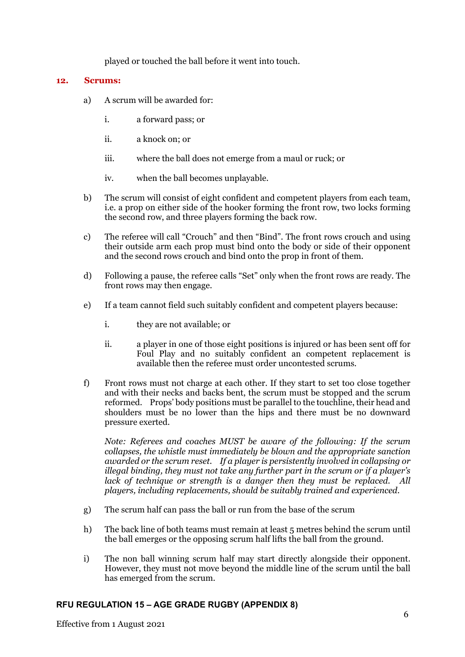played or touched the ball before it went into touch.

### **12. Scrums:**

- a) A scrum will be awarded for:
	- i. a forward pass; or
	- ii. a knock on; or
	- iii. where the ball does not emerge from a maul or ruck; or
	- iv. when the ball becomes unplayable.
- b) The scrum will consist of eight confident and competent players from each team, i.e. a prop on either side of the hooker forming the front row, two locks forming the second row, and three players forming the back row.
- c) The referee will call "Crouch" and then "Bind". The front rows crouch and using their outside arm each prop must bind onto the body or side of their opponent and the second rows crouch and bind onto the prop in front of them.
- d) Following a pause, the referee calls "Set" only when the front rows are ready. The front rows may then engage.
- e) If a team cannot field such suitably confident and competent players because:
	- i. they are not available; or
	- ii. a player in one of those eight positions is injured or has been sent off for Foul Play and no suitably confident an competent replacement is available then the referee must order uncontested scrums.
- f) Front rows must not charge at each other. If they start to set too close together and with their necks and backs bent, the scrum must be stopped and the scrum reformed. Props' body positions must be parallel to the touchline, their head and shoulders must be no lower than the hips and there must be no downward pressure exerted.

*Note: Referees and coaches MUST be aware of the following: If the scrum collapses, the whistle must immediately be blown and the appropriate sanction awarded or the scrum reset. If a player is persistently involved in collapsing or illegal binding, they must not take any further part in the scrum or if a player's lack of technique or strength is a danger then they must be replaced. All players, including replacements, should be suitably trained and experienced.*

- g) The scrum half can pass the ball or run from the base of the scrum
- h) The back line of both teams must remain at least 5 metres behind the scrum until the ball emerges or the opposing scrum half lifts the ball from the ground.
- i) The non ball winning scrum half may start directly alongside their opponent. However, they must not move beyond the middle line of the scrum until the ball has emerged from the scrum.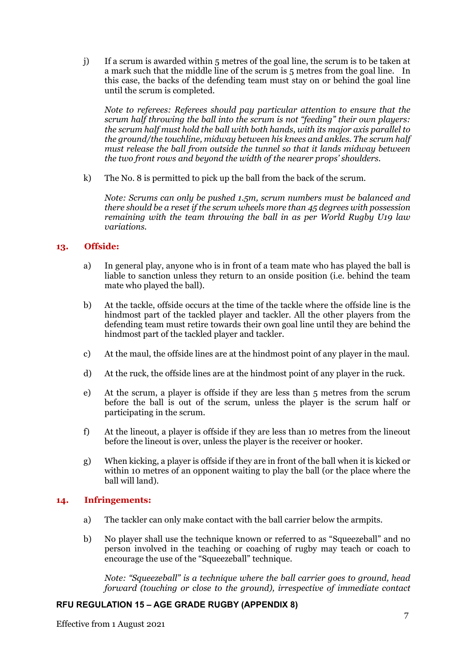j) If a scrum is awarded within 5 metres of the goal line, the scrum is to be taken at a mark such that the middle line of the scrum is 5 metres from the goal line. In this case, the backs of the defending team must stay on or behind the goal line until the scrum is completed.

*Note to referees: Referees should pay particular attention to ensure that the scrum half throwing the ball into the scrum is not "feeding" their own players: the scrum half must hold the ball with both hands, with its major axis parallel to the ground/the touchline, midway between his knees and ankles. The scrum half must release the ball from outside the tunnel so that it lands midway between the two front rows and beyond the width of the nearer props' shoulders.*

k) The No. 8 is permitted to pick up the ball from the back of the scrum.

*Note: Scrums can only be pushed 1.5m, scrum numbers must be balanced and there should be a reset if the scrum wheels more than 45 degrees with possession remaining with the team throwing the ball in as per World Rugby U19 law variations.*

### **13. Offside:**

- a) In general play, anyone who is in front of a team mate who has played the ball is liable to sanction unless they return to an onside position (i.e. behind the team mate who played the ball).
- b) At the tackle, offside occurs at the time of the tackle where the offside line is the hindmost part of the tackled player and tackler. All the other players from the defending team must retire towards their own goal line until they are behind the hindmost part of the tackled player and tackler.
- c) At the maul, the offside lines are at the hindmost point of any player in the maul.
- d) At the ruck, the offside lines are at the hindmost point of any player in the ruck.
- e) At the scrum, a player is offside if they are less than 5 metres from the scrum before the ball is out of the scrum, unless the player is the scrum half or participating in the scrum.
- f) At the lineout, a player is offside if they are less than 10 metres from the lineout before the lineout is over, unless the player is the receiver or hooker.
- g) When kicking, a player is offside if they are in front of the ball when it is kicked or within 10 metres of an opponent waiting to play the ball (or the place where the ball will land).

### **14. Infringements:**

- a) The tackler can only make contact with the ball carrier below the armpits.
- b) No player shall use the technique known or referred to as "Squeezeball" and no person involved in the teaching or coaching of rugby may teach or coach to encourage the use of the "Squeezeball" technique.

*Note: "Squeezeball" is a technique where the ball carrier goes to ground, head forward (touching or close to the ground), irrespective of immediate contact*